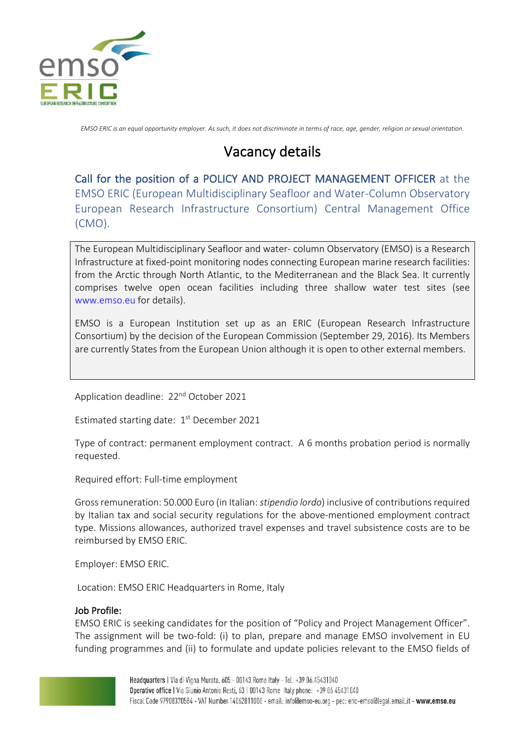

*EMSO ERIC is an equal opportunity employer. As such, it does not discriminate in terms of race, age, gender, religion or sexual orientation.*

# Vacancy details

Call for the position of a POLICY AND PROJECT MANAGEMENT OFFICER at the EMSO ERIC (European Multidisciplinary Seafloor and Water-Column Observatory European Research Infrastructure Consortium) Central Management Office (CMO).

The European Multidisciplinary Seafloor and water- column Observatory (EMSO) is a Research Infrastructure at fixed-point monitoring nodes connecting European marine research facilities: from the Arctic through North Atlantic, to the Mediterranean and the Black Sea. It currently comprises twelve open ocean facilities including three shallow water test sites (see www.emso.eu for details).

EMSO is a European Institution set up as an ERIC (European Research Infrastructure Consortium) by the decision of the European Commission (September 29, 2016). Its Members are currently States from the European Union although it is open to other external members.

Application deadline: 22<sup>nd</sup> October 2021

Estimated starting date: 1<sup>st</sup> December 2021

Type of contract: permanent employment contract. A 6 months probation period is normally requested.

Required effort: Full-time employment

Gross remuneration: 50.000 Euro (in Italian: *stipendio lordo*) inclusive of contributions required by Italian tax and social security regulations for the above-mentioned employment contract type. Missions allowances, authorized travel expenses and travel subsistence costs are to be reimbursed by EMSO ERIC.

Employer: EMSO ERIC.

Location: EMSO ERIC Headquarters in Rome, Italy

## Job Profile:

EMSO ERIC is seeking candidates for the position of "Policy and Project Management Officer". The assignment will be two-fold: (i) to plan, prepare and manage EMSO involvement in EU funding programmes and (ii) to formulate and update policies relevant to the EMSO fields of

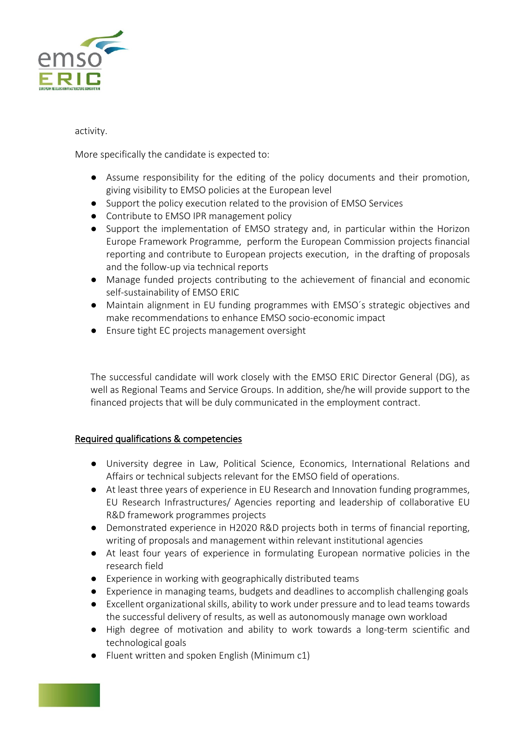

## activity.

More specifically the candidate is expected to:

- Assume responsibility for the editing of the policy documents and their promotion, giving visibility to EMSO policies at the European level
- Support the policy execution related to the provision of EMSO Services
- Contribute to EMSO IPR management policy
- Support the implementation of EMSO strategy and, in particular within the Horizon Europe Framework Programme, perform the European Commission projects financial reporting and contribute to European projects execution, in the drafting of proposals and the follow-up via technical reports
- Manage funded projects contributing to the achievement of financial and economic self-sustainability of EMSO ERIC
- Maintain alignment in EU funding programmes with EMSO´s strategic objectives and make recommendations to enhance EMSO socio-economic impact
- Ensure tight EC projects management oversight

The successful candidate will work closely with the EMSO ERIC Director General (DG), as well as Regional Teams and Service Groups. In addition, she/he will provide support to the financed projects that will be duly communicated in the employment contract.

# Required qualifications & competencies

- University degree in Law, Political Science, Economics, International Relations and Affairs or technical subjects relevant for the EMSO field of operations.
- At least three years of experience in EU Research and Innovation funding programmes, EU Research Infrastructures/ Agencies reporting and leadership of collaborative EU R&D framework programmes projects
- Demonstrated experience in H2020 R&D projects both in terms of financial reporting, writing of proposals and management within relevant institutional agencies
- At least four years of experience in formulating European normative policies in the research field
- Experience in working with geographically distributed teams
- Experience in managing teams, budgets and deadlines to accomplish challenging goals
- Excellent organizational skills, ability to work under pressure and to lead teams towards the successful delivery of results, as well as autonomously manage own workload
- High degree of motivation and ability to work towards a long-term scientific and technological goals
- Fluent written and spoken English (Minimum c1)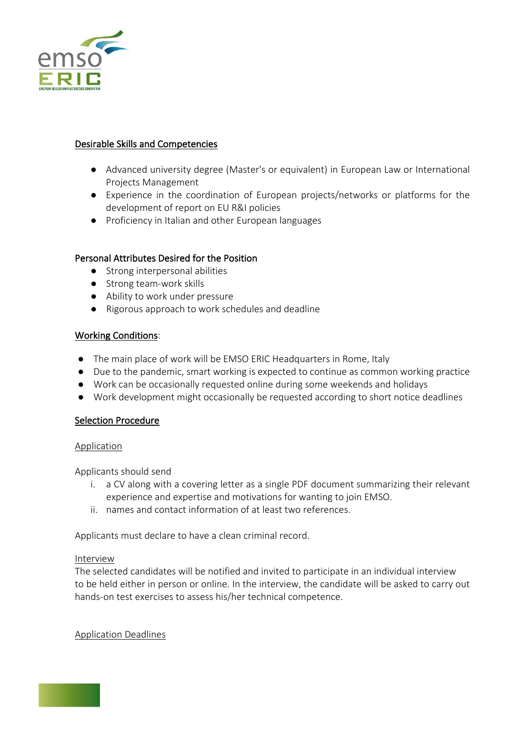

# Desirable Skills and Competencies

- Advanced university degree (Master's or equivalent) in European Law or International Projects Management
- Experience in the coordination of European projects/networks or platforms for the development of report on EU R&I policies
- Proficiency in Italian and other European languages

# Personal Attributes Desired for the Position

- Strong interpersonal abilities
- Strong team-work skills
- Ability to work under pressure
- Rigorous approach to work schedules and deadline

## Working Conditions:

- The main place of work will be EMSO ERIC Headquarters in Rome, Italy
- Due to the pandemic, smart working is expected to continue as common working practice
- Work can be occasionally requested online during some weekends and holidays
- Work development might occasionally be requested according to short notice deadlines

## Selection Procedure

## Application

Applicants should send

- i. a CV along with a covering letter as a single PDF document summarizing their relevant experience and expertise and motivations for wanting to join EMSO.
- ii. names and contact information of at least two references.

Applicants must declare to have a clean criminal record.

## Interview

The selected candidates will be notified and invited to participate in an individual interview to be held either in person or online. In the interview, the candidate will be asked to carry out hands-on test exercises to assess his/her technical competence.

## Application Deadlines